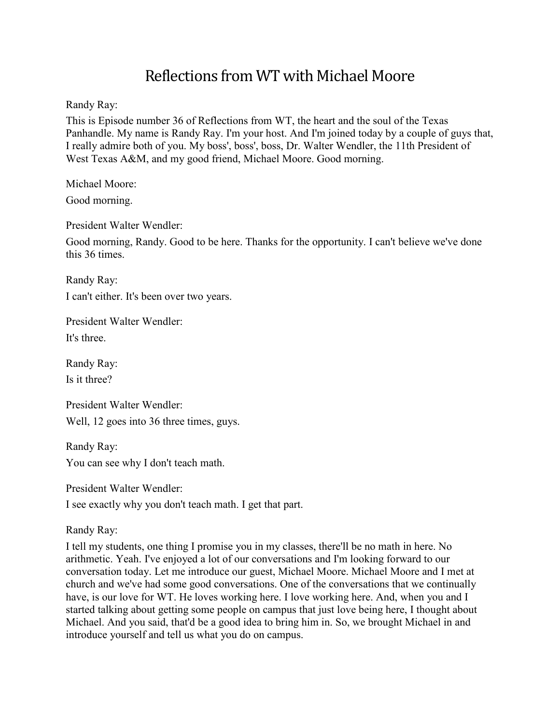# Reflections from WT with Michael Moore

Randy Ray:

This is Episode number 36 of Reflections from WT, the heart and the soul of the Texas Panhandle. My name is Randy Ray. I'm your host. And I'm joined today by a couple of guys that, I really admire both of you. My boss', boss', boss, Dr. Walter Wendler, the 11th President of West Texas A&M, and my good friend, Michael Moore. Good morning.

Michael Moore: Good morning.

President Walter Wendler:

Good morning, Randy. Good to be here. Thanks for the opportunity. I can't believe we've done this 36 times.

Randy Ray: I can't either. It's been over two years.

President Walter Wendler: It's three.

Randy Ray: Is it three?

President Walter Wendler: Well, 12 goes into 36 three times, guys.

Randy Ray: You can see why I don't teach math.

President Walter Wendler: I see exactly why you don't teach math. I get that part.

Randy Ray:

I tell my students, one thing I promise you in my classes, there'll be no math in here. No arithmetic. Yeah. I've enjoyed a lot of our conversations and I'm looking forward to our conversation today. Let me introduce our guest, Michael Moore. Michael Moore and I met at church and we've had some good conversations. One of the conversations that we continually have, is our love for WT. He loves working here. I love working here. And, when you and I started talking about getting some people on campus that just love being here, I thought about Michael. And you said, that'd be a good idea to bring him in. So, we brought Michael in and introduce yourself and tell us what you do on campus.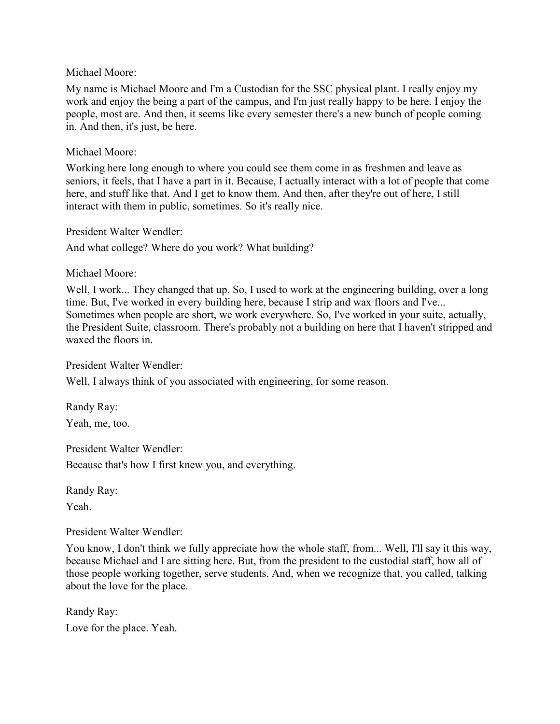My name is Michael Moore and I'm a Custodian for the SSC physical plant. I really enjoy my work and enjoy the being a part of the campus, and I'm just really happy to be here. I enjoy the people, most are. And then, it seems like every semester there's a new bunch of people coming in. And then, it's just, be here.

# Michael Moore:

Working here long enough to where you could see them come in as freshmen and leave as seniors, it feels, that I have a part in it. Because, I actually interact with a lot of people that come here, and stuff like that. And I get to know them. And then, after they're out of here, I still interact with them in public, sometimes. So it's really nice.

President Walter Wendler:

And what college? Where do you work? What building?

# Michael Moore:

Well, I work... They changed that up. So, I used to work at the engineering building, over a long time. But, I've worked in every building here, because I strip and wax floors and I've... Sometimes when people are short, we work everywhere. So, I've worked in your suite, actually, the President Suite, classroom. There's probably not a building on here that I haven't stripped and waxed the floors in.

President Walter Wendler:

Well, I always think of you associated with engineering, for some reason.

Randy Ray: Yeah, me, too.

President Walter Wendler: Because that's how I first knew you, and everything.

Randy Ray:

Yeah.

President Walter Wendler:

You know, I don't think we fully appreciate how the whole staff, from... Well, I'll say it this way, because Michael and I are sitting here. But, from the president to the custodial staff, how all of those people working together, serve students. And, when we recognize that, you called, talking about the love for the place.

Randy Ray: Love for the place. Yeah.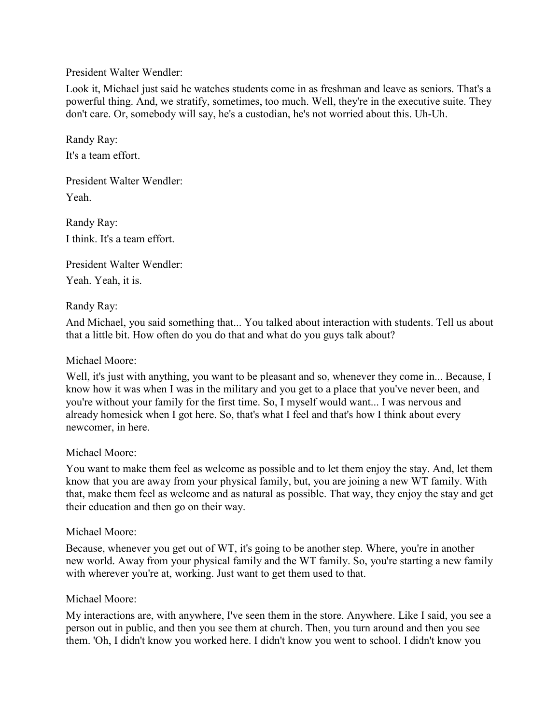President Walter Wendler:

Look it, Michael just said he watches students come in as freshman and leave as seniors. That's a powerful thing. And, we stratify, sometimes, too much. Well, they're in the executive suite. They don't care. Or, somebody will say, he's a custodian, he's not worried about this. Uh-Uh.

Randy Ray: It's a team effort.

President Walter Wendler: Yeah.

Randy Ray: I think. It's a team effort.

President Walter Wendler:

Yeah. Yeah, it is.

# Randy Ray:

And Michael, you said something that... You talked about interaction with students. Tell us about that a little bit. How often do you do that and what do you guys talk about?

# Michael Moore:

Well, it's just with anything, you want to be pleasant and so, whenever they come in... Because, I know how it was when I was in the military and you get to a place that you've never been, and you're without your family for the first time. So, I myself would want... I was nervous and already homesick when I got here. So, that's what I feel and that's how I think about every newcomer, in here.

# Michael Moore:

You want to make them feel as welcome as possible and to let them enjoy the stay. And, let them know that you are away from your physical family, but, you are joining a new WT family. With that, make them feel as welcome and as natural as possible. That way, they enjoy the stay and get their education and then go on their way.

# Michael Moore:

Because, whenever you get out of WT, it's going to be another step. Where, you're in another new world. Away from your physical family and the WT family. So, you're starting a new family with wherever you're at, working. Just want to get them used to that.

# Michael Moore:

My interactions are, with anywhere, I've seen them in the store. Anywhere. Like I said, you see a person out in public, and then you see them at church. Then, you turn around and then you see them. 'Oh, I didn't know you worked here. I didn't know you went to school. I didn't know you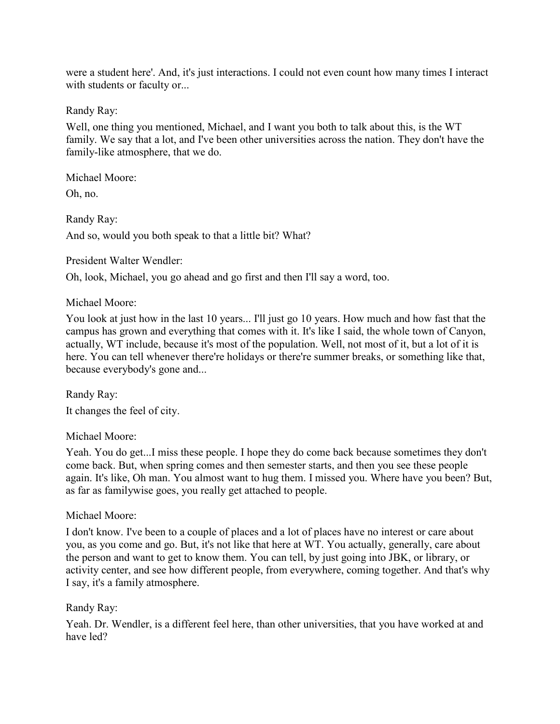were a student here'. And, it's just interactions. I could not even count how many times I interact with students or faculty or...

Randy Ray:

Well, one thing you mentioned, Michael, and I want you both to talk about this, is the WT family. We say that a lot, and I've been other universities across the nation. They don't have the family-like atmosphere, that we do.

Michael Moore:

Oh, no.

Randy Ray: And so, would you both speak to that a little bit? What?

President Walter Wendler:

Oh, look, Michael, you go ahead and go first and then I'll say a word, too.

# Michael Moore:

You look at just how in the last 10 years... I'll just go 10 years. How much and how fast that the campus has grown and everything that comes with it. It's like I said, the whole town of Canyon, actually, WT include, because it's most of the population. Well, not most of it, but a lot of it is here. You can tell whenever there're holidays or there're summer breaks, or something like that, because everybody's gone and...

Randy Ray: It changes the feel of city.

# Michael Moore:

Yeah. You do get...I miss these people. I hope they do come back because sometimes they don't come back. But, when spring comes and then semester starts, and then you see these people again. It's like, Oh man. You almost want to hug them. I missed you. Where have you been? But, as far as familywise goes, you really get attached to people.

# Michael Moore:

I don't know. I've been to a couple of places and a lot of places have no interest or care about you, as you come and go. But, it's not like that here at WT. You actually, generally, care about the person and want to get to know them. You can tell, by just going into JBK, or library, or activity center, and see how different people, from everywhere, coming together. And that's why I say, it's a family atmosphere.

# Randy Ray:

Yeah. Dr. Wendler, is a different feel here, than other universities, that you have worked at and have led?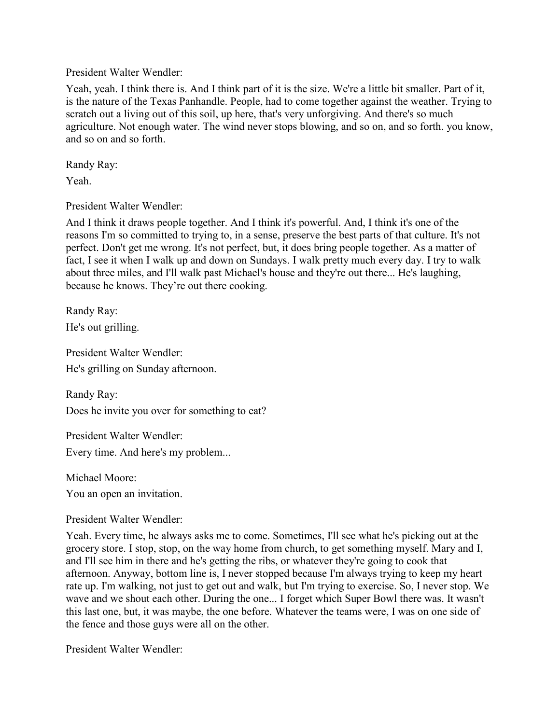# President Walter Wendler:

Yeah, yeah. I think there is. And I think part of it is the size. We're a little bit smaller. Part of it, is the nature of the Texas Panhandle. People, had to come together against the weather. Trying to scratch out a living out of this soil, up here, that's very unforgiving. And there's so much agriculture. Not enough water. The wind never stops blowing, and so on, and so forth. you know, and so on and so forth.

Randy Ray:

Yeah.

President Walter Wendler:

And I think it draws people together. And I think it's powerful. And, I think it's one of the reasons I'm so committed to trying to, in a sense, preserve the best parts of that culture. It's not perfect. Don't get me wrong. It's not perfect, but, it does bring people together. As a matter of fact, I see it when I walk up and down on Sundays. I walk pretty much every day. I try to walk about three miles, and I'll walk past Michael's house and they're out there... He's laughing, because he knows. They're out there cooking.

Randy Ray: He's out grilling.

President Walter Wendler: He's grilling on Sunday afternoon.

Randy Ray: Does he invite you over for something to eat?

President Walter Wendler: Every time. And here's my problem...

Michael Moore:

You an open an invitation.

President Walter Wendler:

Yeah. Every time, he always asks me to come. Sometimes, I'll see what he's picking out at the grocery store. I stop, stop, on the way home from church, to get something myself. Mary and I, and I'll see him in there and he's getting the ribs, or whatever they're going to cook that afternoon. Anyway, bottom line is, I never stopped because I'm always trying to keep my heart rate up. I'm walking, not just to get out and walk, but I'm trying to exercise. So, I never stop. We wave and we shout each other. During the one... I forget which Super Bowl there was. It wasn't this last one, but, it was maybe, the one before. Whatever the teams were, I was on one side of the fence and those guys were all on the other.

President Walter Wendler: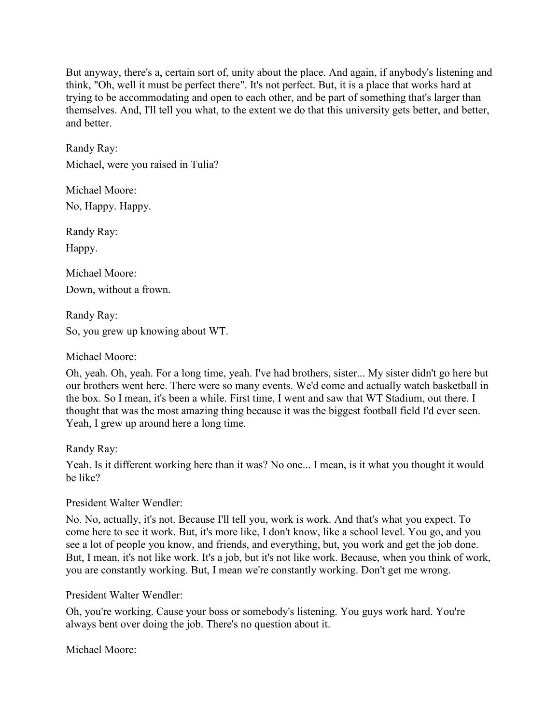But anyway, there's a, certain sort of, unity about the place. And again, if anybody's listening and think, "Oh, well it must be perfect there". It's not perfect. But, it is a place that works hard at trying to be accommodating and open to each other, and be part of something that's larger than themselves. And, I'll tell you what, to the extent we do that this university gets better, and better, and better.

Randy Ray: Michael, were you raised in Tulia?

Michael Moore: No, Happy. Happy.

Randy Ray:

Happy.

Michael Moore: Down, without a frown.

Randy Ray: So, you grew up knowing about WT.

Michael Moore:

Oh, yeah. Oh, yeah. For a long time, yeah. I've had brothers, sister... My sister didn't go here but our brothers went here. There were so many events. We'd come and actually watch basketball in the box. So I mean, it's been a while. First time, I went and saw that WT Stadium, out there. I thought that was the most amazing thing because it was the biggest football field I'd ever seen. Yeah, I grew up around here a long time.

Randy Ray:

Yeah. Is it different working here than it was? No one... I mean, is it what you thought it would be like?

President Walter Wendler:

No. No, actually, it's not. Because I'll tell you, work is work. And that's what you expect. To come here to see it work. But, it's more like, I don't know, like a school level. You go, and you see a lot of people you know, and friends, and everything, but, you work and get the job done. But, I mean, it's not like work. It's a job, but it's not like work. Because, when you think of work, you are constantly working. But, I mean we're constantly working. Don't get me wrong.

President Walter Wendler:

Oh, you're working. Cause your boss or somebody's listening. You guys work hard. You're always bent over doing the job. There's no question about it.

Michael Moore: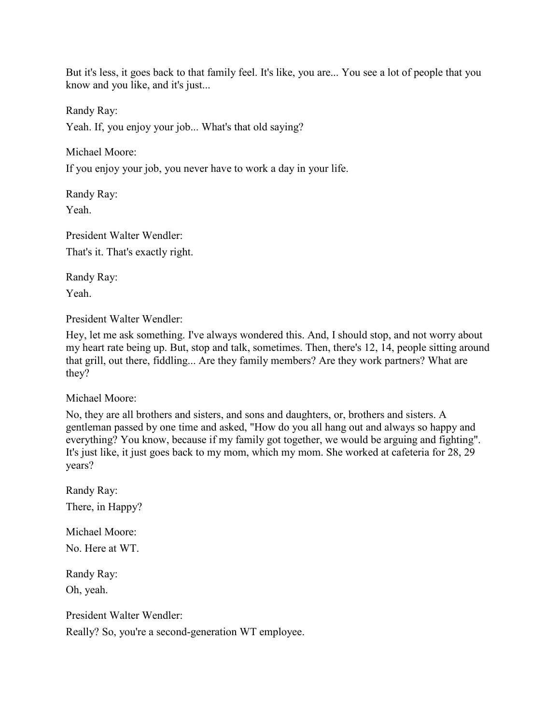But it's less, it goes back to that family feel. It's like, you are... You see a lot of people that you know and you like, and it's just...

Randy Ray:

Yeah. If, you enjoy your job... What's that old saying?

Michael Moore:

If you enjoy your job, you never have to work a day in your life.

Randy Ray: Yeah.

President Walter Wendler: That's it. That's exactly right.

Randy Ray:

Yeah.

President Walter Wendler:

Hey, let me ask something. I've always wondered this. And, I should stop, and not worry about my heart rate being up. But, stop and talk, sometimes. Then, there's 12, 14, people sitting around that grill, out there, fiddling... Are they family members? Are they work partners? What are they?

Michael Moore:

No, they are all brothers and sisters, and sons and daughters, or, brothers and sisters. A gentleman passed by one time and asked, "How do you all hang out and always so happy and everything? You know, because if my family got together, we would be arguing and fighting". It's just like, it just goes back to my mom, which my mom. She worked at cafeteria for 28, 29 years?

Randy Ray: There, in Happy?

Michael Moore: No. Here at WT.

Randy Ray: Oh, yeah.

President Walter Wendler: Really? So, you're a second-generation WT employee.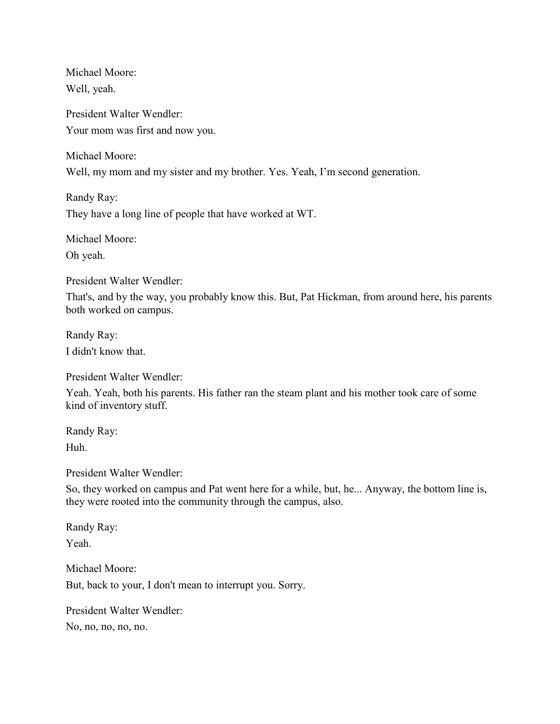Michael Moore: Well, yeah.

President Walter Wendler: Your mom was first and now you.

Michael Moore: Well, my mom and my sister and my brother. Yes. Yeah, I'm second generation.

Randy Ray: They have a long line of people that have worked at WT.

Michael Moore: Oh yeah.

President Walter Wendler:

That's, and by the way, you probably know this. But, Pat Hickman, from around here, his parents both worked on campus.

Randy Ray: I didn't know that.

President Walter Wendler:

Yeah. Yeah, both his parents. His father ran the steam plant and his mother took care of some kind of inventory stuff.

Randy Ray: Huh.

President Walter Wendler:

So, they worked on campus and Pat went here for a while, but, he... Anyway, the bottom line is, they were rooted into the community through the campus, also.

Randy Ray: Yeah.

Michael Moore: But, back to your, I don't mean to interrupt you. Sorry.

President Walter Wendler: No, no, no, no, no.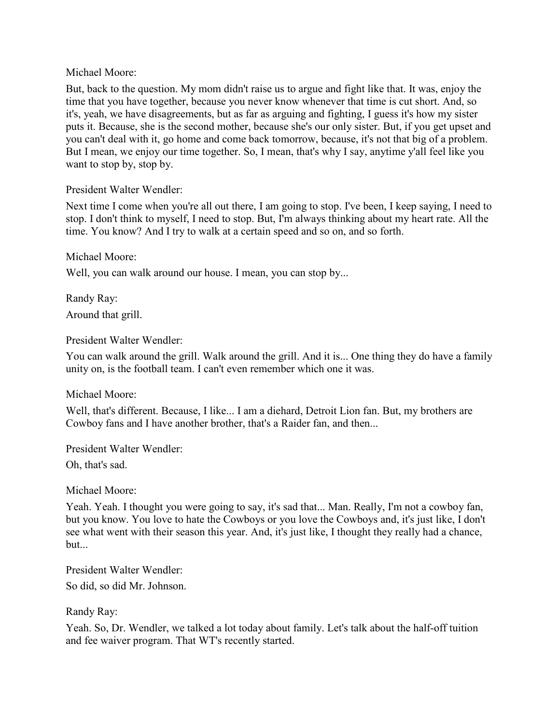But, back to the question. My mom didn't raise us to argue and fight like that. It was, enjoy the time that you have together, because you never know whenever that time is cut short. And, so it's, yeah, we have disagreements, but as far as arguing and fighting, I guess it's how my sister puts it. Because, she is the second mother, because she's our only sister. But, if you get upset and you can't deal with it, go home and come back tomorrow, because, it's not that big of a problem. But I mean, we enjoy our time together. So, I mean, that's why I say, anytime y'all feel like you want to stop by, stop by.

# President Walter Wendler:

Next time I come when you're all out there, I am going to stop. I've been, I keep saying, I need to stop. I don't think to myself, I need to stop. But, I'm always thinking about my heart rate. All the time. You know? And I try to walk at a certain speed and so on, and so forth.

Michael Moore:

Well, you can walk around our house. I mean, you can stop by...

Randy Ray: Around that grill.

President Walter Wendler:

You can walk around the grill. Walk around the grill. And it is... One thing they do have a family unity on, is the football team. I can't even remember which one it was.

# Michael Moore:

Well, that's different. Because, I like... I am a diehard, Detroit Lion fan. But, my brothers are Cowboy fans and I have another brother, that's a Raider fan, and then...

President Walter Wendler:

Oh, that's sad.

Michael Moore:

Yeah. Yeah. I thought you were going to say, it's sad that... Man. Really, I'm not a cowboy fan, but you know. You love to hate the Cowboys or you love the Cowboys and, it's just like, I don't see what went with their season this year. And, it's just like, I thought they really had a chance, but...

President Walter Wendler:

So did, so did Mr. Johnson.

Randy Ray:

Yeah. So, Dr. Wendler, we talked a lot today about family. Let's talk about the half-off tuition and fee waiver program. That WT's recently started.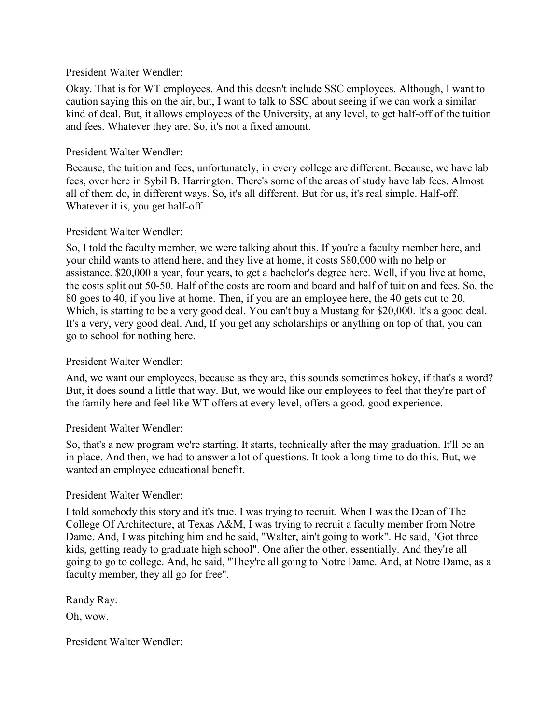## President Walter Wendler:

Okay. That is for WT employees. And this doesn't include SSC employees. Although, I want to caution saying this on the air, but, I want to talk to SSC about seeing if we can work a similar kind of deal. But, it allows employees of the University, at any level, to get half-off of the tuition and fees. Whatever they are. So, it's not a fixed amount.

# President Walter Wendler:

Because, the tuition and fees, unfortunately, in every college are different. Because, we have lab fees, over here in Sybil B. Harrington. There's some of the areas of study have lab fees. Almost all of them do, in different ways. So, it's all different. But for us, it's real simple. Half-off. Whatever it is, you get half-off.

#### President Walter Wendler:

So, I told the faculty member, we were talking about this. If you're a faculty member here, and your child wants to attend here, and they live at home, it costs \$80,000 with no help or assistance. \$20,000 a year, four years, to get a bachelor's degree here. Well, if you live at home, the costs split out 50-50. Half of the costs are room and board and half of tuition and fees. So, the 80 goes to 40, if you live at home. Then, if you are an employee here, the 40 gets cut to 20. Which, is starting to be a very good deal. You can't buy a Mustang for \$20,000. It's a good deal. It's a very, very good deal. And, If you get any scholarships or anything on top of that, you can go to school for nothing here.

#### President Walter Wendler:

And, we want our employees, because as they are, this sounds sometimes hokey, if that's a word? But, it does sound a little that way. But, we would like our employees to feel that they're part of the family here and feel like WT offers at every level, offers a good, good experience.

# President Walter Wendler:

So, that's a new program we're starting. It starts, technically after the may graduation. It'll be an in place. And then, we had to answer a lot of questions. It took a long time to do this. But, we wanted an employee educational benefit.

# President Walter Wendler:

I told somebody this story and it's true. I was trying to recruit. When I was the Dean of The College Of Architecture, at Texas A&M, I was trying to recruit a faculty member from Notre Dame. And, I was pitching him and he said, "Walter, ain't going to work". He said, "Got three kids, getting ready to graduate high school". One after the other, essentially. And they're all going to go to college. And, he said, "They're all going to Notre Dame. And, at Notre Dame, as a faculty member, they all go for free".

Randy Ray:

Oh, wow.

President Walter Wendler: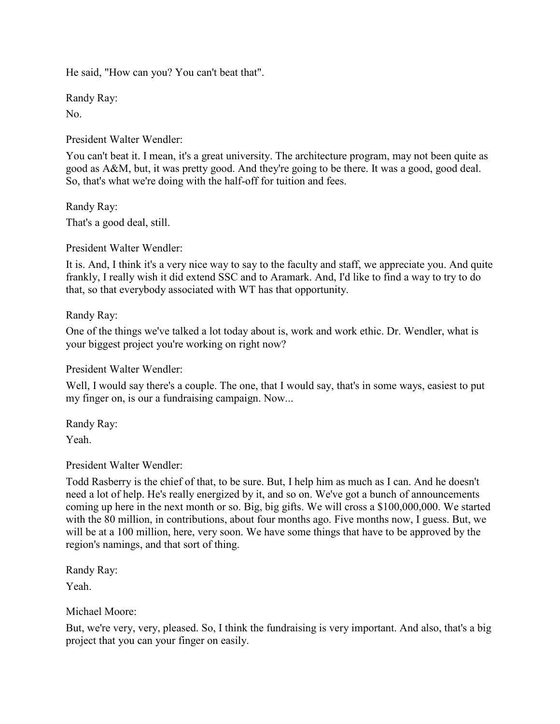He said, "How can you? You can't beat that".

Randy Ray:

No.

President Walter Wendler:

You can't beat it. I mean, it's a great university. The architecture program, may not been quite as good as A&M, but, it was pretty good. And they're going to be there. It was a good, good deal. So, that's what we're doing with the half-off for tuition and fees.

Randy Ray:

That's a good deal, still.

President Walter Wendler:

It is. And, I think it's a very nice way to say to the faculty and staff, we appreciate you. And quite frankly, I really wish it did extend SSC and to Aramark. And, I'd like to find a way to try to do that, so that everybody associated with WT has that opportunity.

Randy Ray:

One of the things we've talked a lot today about is, work and work ethic. Dr. Wendler, what is your biggest project you're working on right now?

President Walter Wendler:

Well, I would say there's a couple. The one, that I would say, that's in some ways, easiest to put my finger on, is our a fundraising campaign. Now...

Randy Ray: Yeah.

President Walter Wendler:

Todd Rasberry is the chief of that, to be sure. But, I help him as much as I can. And he doesn't need a lot of help. He's really energized by it, and so on. We've got a bunch of announcements coming up here in the next month or so. Big, big gifts. We will cross a \$100,000,000. We started with the 80 million, in contributions, about four months ago. Five months now, I guess. But, we will be at a 100 million, here, very soon. We have some things that have to be approved by the region's namings, and that sort of thing.

Randy Ray: Yeah.

Michael Moore:

But, we're very, very, pleased. So, I think the fundraising is very important. And also, that's a big project that you can your finger on easily.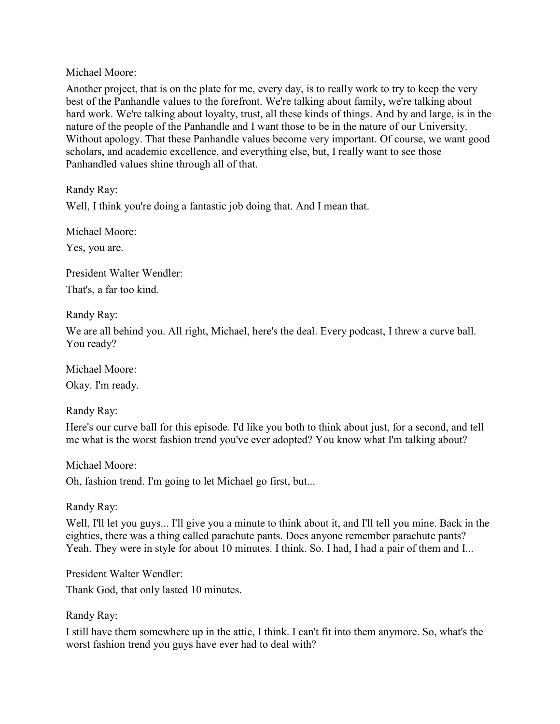Another project, that is on the plate for me, every day, is to really work to try to keep the very best of the Panhandle values to the forefront. We're talking about family, we're talking about hard work. We're talking about loyalty, trust, all these kinds of things. And by and large, is in the nature of the people of the Panhandle and I want those to be in the nature of our University. Without apology. That these Panhandle values become very important. Of course, we want good scholars, and academic excellence, and everything else, but, I really want to see those Panhandled values shine through all of that.

Randy Ray:

Well, I think you're doing a fantastic job doing that. And I mean that.

Michael Moore:

Yes, you are.

President Walter Wendler: That's, a far too kind.

Randy Ray:

We are all behind you. All right, Michael, here's the deal. Every podcast, I threw a curve ball. You ready?

Michael Moore: Okay. I'm ready.

Randy Ray:

Here's our curve ball for this episode. I'd like you both to think about just, for a second, and tell me what is the worst fashion trend you've ever adopted? You know what I'm talking about?

Michael Moore: Oh, fashion trend. I'm going to let Michael go first, but...

Randy Ray:

Well, I'll let you guys... I'll give you a minute to think about it, and I'll tell you mine. Back in the eighties, there was a thing called parachute pants. Does anyone remember parachute pants? Yeah. They were in style for about 10 minutes. I think. So. I had, I had a pair of them and I...

President Walter Wendler:

Thank God, that only lasted 10 minutes.

# Randy Ray:

I still have them somewhere up in the attic, I think. I can't fit into them anymore. So, what's the worst fashion trend you guys have ever had to deal with?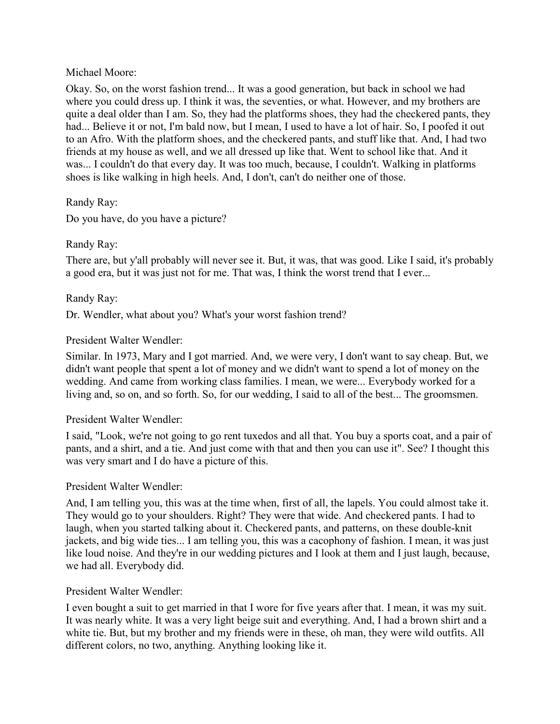Okay. So, on the worst fashion trend... It was a good generation, but back in school we had where you could dress up. I think it was, the seventies, or what. However, and my brothers are quite a deal older than I am. So, they had the platforms shoes, they had the checkered pants, they had... Believe it or not, I'm bald now, but I mean, I used to have a lot of hair. So, I poofed it out to an Afro. With the platform shoes, and the checkered pants, and stuff like that. And, I had two friends at my house as well, and we all dressed up like that. Went to school like that. And it was... I couldn't do that every day. It was too much, because, I couldn't. Walking in platforms shoes is like walking in high heels. And, I don't, can't do neither one of those.

# Randy Ray:

Do you have, do you have a picture?

# Randy Ray:

There are, but y'all probably will never see it. But, it was, that was good. Like I said, it's probably a good era, but it was just not for me. That was, I think the worst trend that I ever...

# Randy Ray:

Dr. Wendler, what about you? What's your worst fashion trend?

# President Walter Wendler:

Similar. In 1973, Mary and I got married. And, we were very, I don't want to say cheap. But, we didn't want people that spent a lot of money and we didn't want to spend a lot of money on the wedding. And came from working class families. I mean, we were... Everybody worked for a living and, so on, and so forth. So, for our wedding, I said to all of the best... The groomsmen.

# President Walter Wendler:

I said, "Look, we're not going to go rent tuxedos and all that. You buy a sports coat, and a pair of pants, and a shirt, and a tie. And just come with that and then you can use it". See? I thought this was very smart and I do have a picture of this.

# President Walter Wendler:

And, I am telling you, this was at the time when, first of all, the lapels. You could almost take it. They would go to your shoulders. Right? They were that wide. And checkered pants. I had to laugh, when you started talking about it. Checkered pants, and patterns, on these double-knit jackets, and big wide ties... I am telling you, this was a cacophony of fashion. I mean, it was just like loud noise. And they're in our wedding pictures and I look at them and I just laugh, because, we had all. Everybody did.

# President Walter Wendler:

I even bought a suit to get married in that I wore for five years after that. I mean, it was my suit. It was nearly white. It was a very light beige suit and everything. And, I had a brown shirt and a white tie. But, but my brother and my friends were in these, oh man, they were wild outfits. All different colors, no two, anything. Anything looking like it.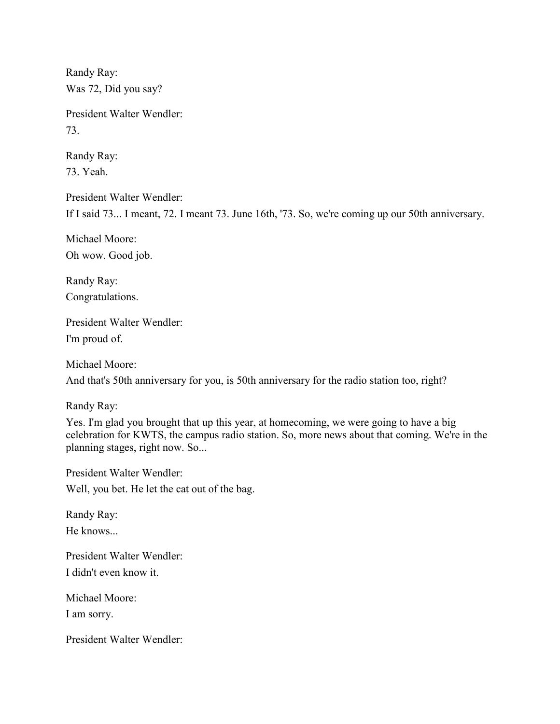Randy Ray: Was 72, Did you say?

President Walter Wendler: 73.

Randy Ray: 73. Yeah.

President Walter Wendler: If I said 73... I meant, 72. I meant 73. June 16th, '73. So, we're coming up our 50th anniversary.

Michael Moore: Oh wow. Good job.

Randy Ray: Congratulations.

President Walter Wendler: I'm proud of.

Michael Moore:

And that's 50th anniversary for you, is 50th anniversary for the radio station too, right?

Randy Ray:

Yes. I'm glad you brought that up this year, at homecoming, we were going to have a big celebration for KWTS, the campus radio station. So, more news about that coming. We're in the planning stages, right now. So...

President Walter Wendler: Well, you bet. He let the cat out of the bag.

Randy Ray: He knows...

President Walter Wendler: I didn't even know it.

Michael Moore: I am sorry.

President Walter Wendler: